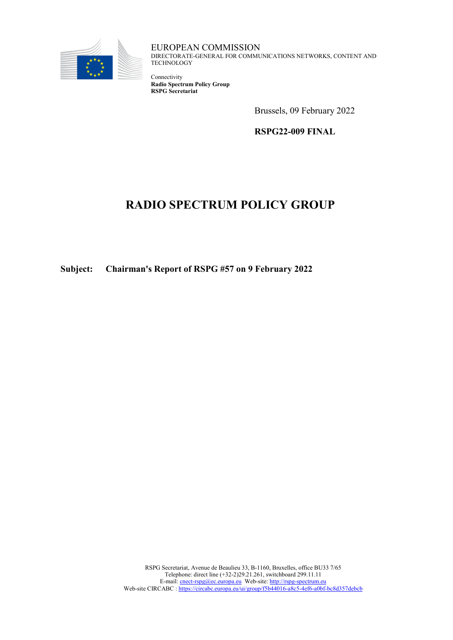

EUROPEAN COMMISSION DIRECTORATE-GENERAL FOR COMMUNICATIONS NETWORKS, CONTENT AND TECHNOLOGY

Connectivity **Radio Spectrum Policy Group RSPG Secretariat**

Brussels, 09 February 2022

**RSPG22-009 FINAL**

# **RADIO SPECTRUM POLICY GROUP**

**Subject: Chairman's Report of RSPG #57 on 9 February 2022**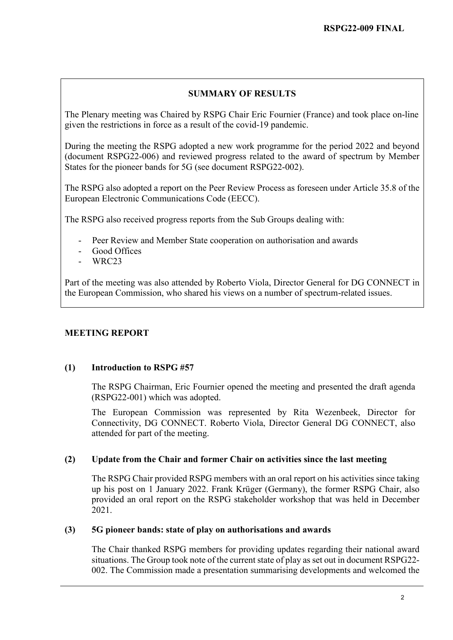# **SUMMARY OF RESULTS**

The Plenary meeting was Chaired by RSPG Chair Eric Fournier (France) and took place on-line given the restrictions in force as a result of the covid-19 pandemic.

During the meeting the RSPG adopted a new work programme for the period 2022 and beyond (document RSPG22-006) and reviewed progress related to the award of spectrum by Member States for the pioneer bands for 5G (see document RSPG22-002).

The RSPG also adopted a report on the Peer Review Process as foreseen under Article 35.8 of the European Electronic Communications Code (EECC).

The RSPG also received progress reports from the Sub Groups dealing with:

- Peer Review and Member State cooperation on authorisation and awards
- Good Offices
- WRC23

Part of the meeting was also attended by Roberto Viola, Director General for DG CONNECT in the European Commission, who shared his views on a number of spectrum-related issues.

# **MEETING REPORT**

## **(1) Introduction to RSPG #57**

The RSPG Chairman, Eric Fournier opened the meeting and presented the draft agenda (RSPG22-001) which was adopted.

The European Commission was represented by Rita Wezenbeek, Director for Connectivity, DG CONNECT. Roberto Viola, Director General DG CONNECT, also attended for part of the meeting.

## **(2) Update from the Chair and former Chair on activities since the last meeting**

The RSPG Chair provided RSPG members with an oral report on his activities since taking up his post on 1 January 2022. Frank Krüger (Germany), the former RSPG Chair, also provided an oral report on the RSPG stakeholder workshop that was held in December 2021.

### **(3) 5G pioneer bands: state of play on authorisations and awards**

The Chair thanked RSPG members for providing updates regarding their national award situations. The Group took note of the current state of play as set out in document RSPG22- 002. The Commission made a presentation summarising developments and welcomed the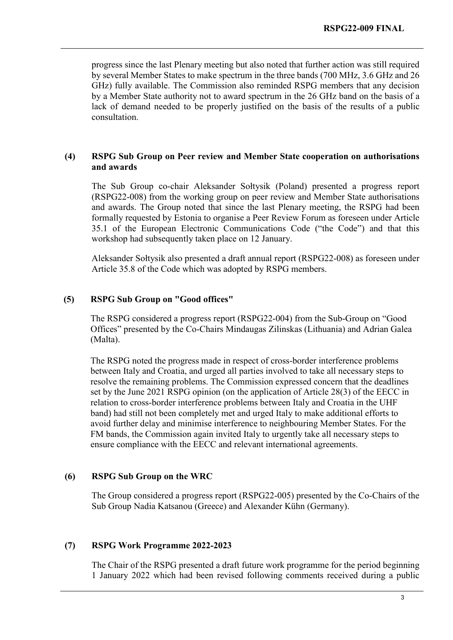progress since the last Plenary meeting but also noted that further action was still required by several Member States to make spectrum in the three bands (700 MHz, 3.6 GHz and 26 GHz) fully available. The Commission also reminded RSPG members that any decision by a Member State authority not to award spectrum in the 26 GHz band on the basis of a lack of demand needed to be properly justified on the basis of the results of a public consultation.

#### **(4) RSPG Sub Group on Peer review and Member State cooperation on authorisations and awards**

The Sub Group co-chair Aleksander Sołtysik (Poland) presented a progress report (RSPG22-008) from the working group on peer review and Member State authorisations and awards. The Group noted that since the last Plenary meeting, the RSPG had been formally requested by Estonia to organise a Peer Review Forum as foreseen under Article 35.1 of the European Electronic Communications Code ("the Code") and that this workshop had subsequently taken place on 12 January.

Aleksander Sołtysik also presented a draft annual report (RSPG22-008) as foreseen under Article 35.8 of the Code which was adopted by RSPG members.

#### **(5) RSPG Sub Group on "Good offices"**

The RSPG considered a progress report (RSPG22-004) from the Sub-Group on "Good Offices" presented by the Co-Chairs Mindaugas Zilinskas (Lithuania) and Adrian Galea (Malta).

The RSPG noted the progress made in respect of cross-border interference problems between Italy and Croatia, and urged all parties involved to take all necessary steps to resolve the remaining problems. The Commission expressed concern that the deadlines set by the June 2021 RSPG opinion (on the application of Article 28(3) of the EECC in relation to cross-border interference problems between Italy and Croatia in the UHF band) had still not been completely met and urged Italy to make additional efforts to avoid further delay and minimise interference to neighbouring Member States. For the FM bands, the Commission again invited Italy to urgently take all necessary steps to ensure compliance with the EECC and relevant international agreements.

#### **(6) RSPG Sub Group on the WRC**

The Group considered a progress report (RSPG22-005) presented by the Co-Chairs of the Sub Group Nadia Katsanou (Greece) and Alexander Kühn (Germany).

#### **(7) RSPG Work Programme 2022-2023**

The Chair of the RSPG presented a draft future work programme for the period beginning 1 January 2022 which had been revised following comments received during a public